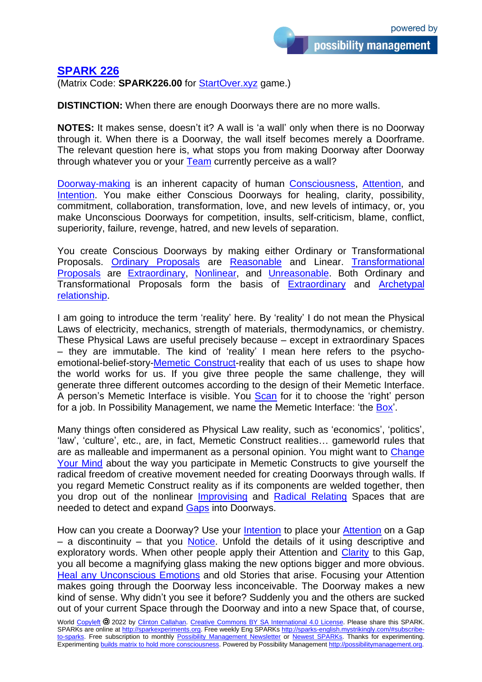## **[SPARK 226](https://sparks-english.mystrikingly.com/)**

(Matrix Code: **SPARK226.00** for [StartOver.xyz](http://startoverxyz.mystrikingly.com/) game.)

**DISTINCTION:** When there are enough Doorways there are no more walls.

**NOTES:** It makes sense, doesn't it? A wall is 'a wall' only when there is no Doorway through it. When there is a Doorway, the wall itself becomes merely a Doorframe. The relevant question here is, what stops you from making Doorway after Doorway through whatever you or your [Team](http://yourteams.mystrikingly.com/) currently perceive as a wall?

[Doorway-making](http://possibilitypaintbrush.mystrikingly.com/) is an inherent capacity of human [Consciousness,](http://consciousness.mystrikingly.com/) [Attention,](http://yourattention.mystrikingly.com/) and [Intention.](http://intention.mystrikingly.com/) You make either Conscious Doorways for healing, clarity, possibility, commitment, collaboration, transformation, love, and new levels of intimacy, or, you make Unconscious Doorways for competition, insults, self-criticism, blame, conflict, superiority, failure, revenge, hatred, and new levels of separation.

You create Conscious Doorways by making either Ordinary or Transformational Proposals. [Ordinary Proposals](http://proposals.mystrikingly.com/) are [Reasonable](http://reasons.mystrikingly.com/) and Linear. [Transformational](http://transformationalproposals.mystrikingly.com/)  [Proposals](http://transformationalproposals.mystrikingly.com/) are [Extraordinary,](http://ordinaryextraordinary.mystrikingly.com/) [Nonlinear,](http://gononlinear.mystrikingly.com/) and [Unreasonable.](http://gounreasonable.mystrikingly.com/) Both Ordinary and Transformational Proposals form the basis of [Extraordinary](http://negotiateintimacy.mystrikingly.com/) and [Archetypal](http://archeamory.mystrikingly.com/)  [relationship.](http://archeamory.mystrikingly.com/)

I am going to introduce the term 'reality' here. By 'reality' I do not mean the Physical Laws of electricity, mechanics, strength of materials, thermodynamics, or chemistry. These Physical Laws are useful precisely because – except in extraordinary Spaces – they are immutable. The kind of 'reality' I mean here refers to the psychoemotional-belief-story[-Memetic Construct-](http://memeticconstruct.mystrikingly.com/)reality that each of us uses to shape how the world works for us. If you give three people the same challenge, they will generate three different outcomes according to the design of their Memetic Interface. A person's Memetic Interface is visible. You [Scan](http://scanning.mystrikingly.com/) for it to choose the 'right' person for a job. In Possibility Management, we name the Memetic Interface: 'the [Box'](http://boxtechnology.mystrikingly.com/).

Many things often considered as Physical Law reality, such as 'economics', 'politics', 'law', 'culture', etc., are, in fact, Memetic Construct realities… gameworld rules that are as malleable and impermanent as a personal opinion. You might want to [Change](http://changeyourmind.mystrikingly.com/)  Your [Mind](http://changeyourmind.mystrikingly.com/) about the way you participate in Memetic Constructs to give yourself the radical freedom of creative movement needed for creating Doorways through walls. If you regard Memetic Construct reality as if its components are welded together, then you drop out of the nonlinear [Improvising](http://improvise.mystrikingly.com/) and [Radical Relating](http://radicalrelating.mystrikingly.com/) Spaces that are needed to detect and expand [Gaps](http://9gaps.mystrikingly.com/) into Doorways.

How can you create a Doorway? Use your [Intention](http://intention.mystrikingly.com/) to place your [Attention](http://yourattention.mystrikingly.com/) on a Gap  $-$  a discontinuity  $-$  that you [Notice.](http://noticing.mystrikingly.com/) Unfold the details of it using descriptive and exploratory words. When other people apply their Attention and [Clarity](http://swordofclarity.mystrikingly.com/) to this Gap, you all become a magnifying glass making the new options bigger and more obvious. [Heal any Unconscious Emotions](http://process.mystrikingly.com/) and old Stories that arise. Focusing your Attention makes going through the Doorway less inconceivable. The Doorway makes a new kind of sense. Why didn't you see it before? Suddenly you and the others are sucked out of your current Space through the Doorway and into a new Space that, of course,

World [Copyleft](https://en.wikipedia.org/wiki/Copyleft) <sup>2022</sup> by [Clinton Callahan.](http://clintoncallahan.mystrikingly.com/) Creative Commons [BY SA International 4.0](https://creativecommons.org/licenses/by-sa/4.0/) License. Please share this SPARK. SPARKs are online at [http://sparkexperiments.org.](http://sparks-english.mystrikingly.com/) Free weekly Eng SPARKs [http://sparks-english.mystrikingly.com/#subscribe](http://sparks-english.mystrikingly.com/#subscribe-to-sparks)[to-sparks.](http://sparks-english.mystrikingly.com/#subscribe-to-sparks) Free subscription to monthly [Possibility Management Newsletter](https://possibilitymanagement.org/news/) or Newest [SPARKs.](https://www.clintoncallahan.org/newsletter-1) Thanks for experimenting. Experimenting builds matrix to hold [more consciousness.](http://spaceport.mystrikingly.com/) Powered by Possibility Management [http://possibilitymanagement.org.](http://possibilitymanagement.org/)